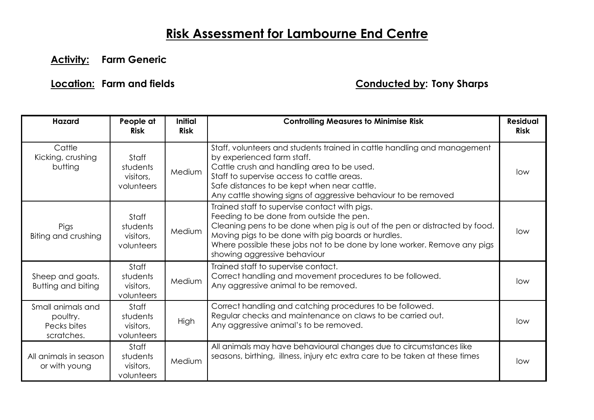## **Risk Assessment for Lambourne End Centre**

**Activity: Farm Generic** 

## **Location: Farm and fields Conducted by: Tony Sharps**

| <b>Hazard</b>                                              | People at<br><b>Risk</b>                     | <b>Initial</b><br><b>Risk</b> | <b>Controlling Measures to Minimise Risk</b>                                                                                                                                                                                                                                                                                              | <b>Residual</b><br><b>Risk</b> |
|------------------------------------------------------------|----------------------------------------------|-------------------------------|-------------------------------------------------------------------------------------------------------------------------------------------------------------------------------------------------------------------------------------------------------------------------------------------------------------------------------------------|--------------------------------|
| Cattle<br>Kicking, crushing<br>butting                     | Staff<br>students<br>visitors,<br>volunteers | Medium                        | Staff, volunteers and students trained in cattle handling and management<br>by experienced farm staff.<br>Cattle crush and handling area to be used.<br>Staff to supervise access to cattle areas.<br>Safe distances to be kept when near cattle.<br>Any cattle showing signs of aggressive behaviour to be removed                       | low                            |
| <b>Pigs</b><br>Biting and crushing                         | Staff<br>students<br>visitors,<br>volunteers | Medium                        | Trained staff to supervise contact with pigs.<br>Feeding to be done from outside the pen.<br>Cleaning pens to be done when pig is out of the pen or distracted by food.<br>Moving pigs to be done with pig boards or hurdles.<br>Where possible these jobs not to be done by lone worker. Remove any pigs<br>showing aggressive behaviour | low                            |
| Sheep and goats.<br><b>Butting and biting</b>              | Staff<br>students<br>visitors,<br>volunteers | Medium                        | Trained staff to supervise contact.<br>Correct handling and movement procedures to be followed.<br>Any aggressive animal to be removed.                                                                                                                                                                                                   | low                            |
| Small animals and<br>poultry.<br>Pecks bites<br>scratches. | Staff<br>students<br>visitors,<br>volunteers | High                          | Correct handling and catching procedures to be followed.<br>Regular checks and maintenance on claws to be carried out.<br>Any aggressive animal's to be removed.                                                                                                                                                                          | low                            |
| All animals in season<br>or with young                     | Staff<br>students<br>visitors,<br>volunteers | Medium                        | All animals may have behavioural changes due to circumstances like<br>seasons, birthing, illness, injury etc extra care to be taken at these times                                                                                                                                                                                        | low                            |